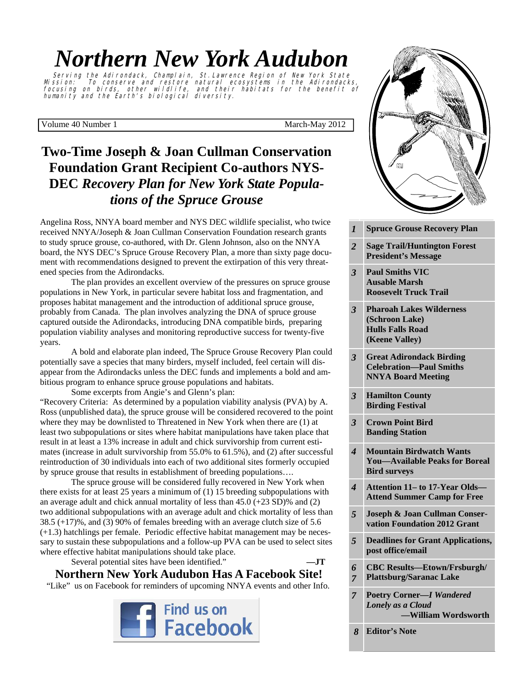# *Northern New York Audubon*

Serving the Adirondack, Champlain, St. Lawrence Region of New York State Mission: To conserve and restore natural ecosystems in the Adirondacks, focusing on birds, other wildlife, and their habitats for the benefit of humanity and the Earth's biological diversity.

Volume 40 Number 1 March-May 2012

## **Two-Time Joseph & Joan Cullman Conservation Foundation Grant Recipient Co-authors NYS-DEC** *Recovery Plan for New York State Populations of the Spruce Grouse*

Angelina Ross, NNYA board member and NYS DEC wildlife specialist, who twice received NNYA/Joseph & Joan Cullman Conservation Foundation research grants to study spruce grouse, co-authored, with Dr. Glenn Johnson, also on the NNYA board, the NYS DEC's Spruce Grouse Recovery Plan, a more than sixty page document with recommendations designed to prevent the extirpation of this very threatened species from the Adirondacks.

 The plan provides an excellent overview of the pressures on spruce grouse populations in New York, in particular severe habitat loss and fragmentation, and proposes habitat management and the introduction of additional spruce grouse, probably from Canada. The plan involves analyzing the DNA of spruce grouse captured outside the Adirondacks, introducing DNA compatible birds, preparing population viability analyses and monitoring reproductive success for twenty-five years.

 A bold and elaborate plan indeed, The Spruce Grouse Recovery Plan could potentially save a species that many birders, myself included, feel certain will disappear from the Adirondacks unless the DEC funds and implements a bold and ambitious program to enhance spruce grouse populations and habitats.

 Some excerpts from Angie's and Glenn's plan: "Recovery Criteria: As determined by a population viability analysis (PVA) by A. Ross (unpublished data), the spruce grouse will be considered recovered to the point where they may be downlisted to Threatened in New York when there are (1) at least two subpopulations or sites where habitat manipulations have taken place that result in at least a 13% increase in adult and chick survivorship from current estimates (increase in adult survivorship from 55.0% to 61.5%), and (2) after successful reintroduction of 30 individuals into each of two additional sites formerly occupied by spruce grouse that results in establishment of breeding populations….

The spruce grouse will be considered fully recovered in New York when there exists for at least 25 years a minimum of (1) 15 breeding subpopulations with an average adult and chick annual mortality of less than 45.0 (+23 SD)% and (2) two additional subpopulations with an average adult and chick mortality of less than 38.5 (+17)%, and (3) 90% of females breeding with an average clutch size of 5.6 (+1.3) hatchlings per female. Periodic effective habitat management may be necessary to sustain these subpopulations and a follow-up PVA can be used to select sites where effective habitat manipulations should take place.

Several potential sites have been identified." **—JT** 

## **Northern New York Audubon Has A Facebook Site!**

"Like" us on Facebook for reminders of upcoming NNYA events and other Info.





- **Coon Mountain**  *3* **Paul Smiths VIC 2 Roosevelt Truck Trail <b>Roosevelt Ausable Marsh**
- **Park—Louisville & Massena**  *3* **Pharoah Lakes Wilderness (St. Lawrence County) (Schroon Lake)**  *(Keene Valley)* **Hulls Falls Road**
- **President's Message**  *3* **Great Adirondack Birding NNYA Board Meeting Celebration—Paul Smiths**
- *3* **<b>Hamilton County Email Birding Festival**

*3* **Crown Point Bird 3** *Dunung* Button **Banding Station** 

- **Butterfly Count**  *4* **Mountain Birdwatch Wants**  *4* **<b>***Available Peaks for Boreal* **Change on High Elevation Forests <b>Elevation Forests Elevation Forests**
- *5* **Bicknell's Thrush Habitat Graph**  *4* **Attention 11– to 17-Year Olds— Attend Summer Camp for Free**
- *5* **<b>Joseph & Joan Cullman Conservation Foundation 2012 Grant**
- *5* **<b>Deadlines for Grant Applications, post office/email**
- *6* CBC Results—Etown/Frsburgh/ **Plattsburg/Saranac Lake** *6 7*
- *8* **Editor's Note**  *7* **Poetry Corner—***I Wandered Lonely as a Cloud*   **—William Wordsworth**

 *8* **Editor's Note**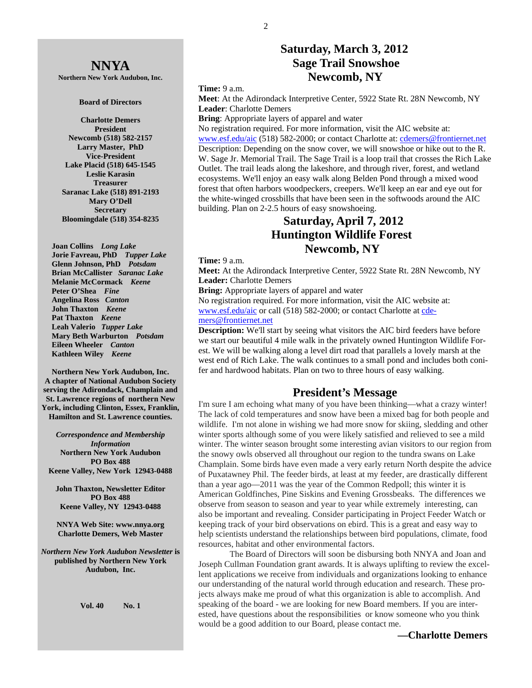## **NNYA**

**Northern New York Audubon, Inc.** 

#### **Board of Directors**

**Charlotte Demers President Newcomb (518) 582-2157 Larry Master, PhD Vice-President Lake Placid (518) 645-1545 Leslie Karasin Treasurer Saranac Lake (518) 891-2193 Mary O'Dell Secretary Bloomingdale (518) 354-8235** 

 **Joan Collins** *Long Lake*   **Jorie Favreau, PhD** *Tupper Lake*  **Glenn Johnson, PhD** *Potsdam*   **Brian McCallister** *Saranac Lake*   **Melanie McCormack** *Keene*   **Peter O'Shea** *Fine*   **Angelina Ross** *Canton* **John Thaxton** *Keene* **Pat Thaxton** *Keene* **Leah Valerio** *Tupper Lake*   **Mary Beth Warburton** *Potsdam*   **Eileen Wheeler** *Canton* **Kathleen Wiley** *Keene* 

**Northern New York Audubon, Inc. A chapter of National Audubon Society serving the Adirondack, Champlain and St. Lawrence regions of northern New York, including Clinton, Essex, Franklin, Hamilton and St. Lawrence counties.** 

*Correspondence and Membership Information* **Northern New York Audubon PO Box 488 Keene Valley, New York 12943-0488** 

**John Thaxton, Newsletter Editor PO Box 488 Keene Valley, NY 12943-0488** 

**NNYA Web Site: www.nnya.org Charlotte Demers, Web Master**

*Northern New York Audubon Newsletter* **is published by Northern New York Audubon, Inc.** 

**Vol. 40 No. 1** 

## **Saturday, March 3, 2012 Sage Trail Snowshoe Newcomb, NY**

**Time:** 9 a.m.

**Meet**: At the Adirondack Interpretive Center, 5922 State Rt. 28N Newcomb, NY **Leader**: Charlotte Demers

**Bring**: Appropriate layers of apparel and water

No registration required. For more information, visit the AIC website at: www.esf.edu/aic (518) 582-2000; or contact Charlotte at: cdemers@frontiernet.net Description: Depending on the snow cover, we will snowshoe or hike out to the R. W. Sage Jr. Memorial Trail. The Sage Trail is a loop trail that crosses the Rich Lake Outlet. The trail leads along the lakeshore, and through river, forest, and wetland ecosystems. We'll enjoy an easy walk along Belden Pond through a mixed wood forest that often harbors woodpeckers, creepers. We'll keep an ear and eye out for the white-winged crossbills that have been seen in the softwoods around the AIC building. Plan on 2-2.5 hours of easy snowshoeing.

## **Saturday, April 7, 2012 Huntington Wildlife Forest Newcomb, NY**

**Time:** 9 a.m.

**Meet:** At the Adirondack Interpretive Center, 5922 State Rt. 28N Newcomb, NY **Leader:** Charlotte Demers

**Bring:** Appropriate layers of apparel and water

No registration required. For more information, visit the AIC website at: www.esf.edu/aic or call (518) 582-2000; or contact Charlotte at cdemers@frontiernet.net

**Description:** We'll start by seeing what visitors the AIC bird feeders have before we start our beautiful 4 mile walk in the privately owned Huntington Wildlife Forest. We will be walking along a level dirt road that parallels a lovely marsh at the west end of Rich Lake. The walk continues to a small pond and includes both conifer and hardwood habitats. Plan on two to three hours of easy walking.

#### **President's Message**

I'm sure I am echoing what many of you have been thinking—what a crazy winter! The lack of cold temperatures and snow have been a mixed bag for both people and wildlife. I'm not alone in wishing we had more snow for skiing, sledding and other winter sports although some of you were likely satisfied and relieved to see a mild winter. The winter season brought some interesting avian visitors to our region from the snowy owls observed all throughout our region to the tundra swans on Lake Champlain. Some birds have even made a very early return North despite the advice of Puxatawney Phil. The feeder birds, at least at my feeder, are drastically different than a year ago—2011 was the year of the Common Redpoll; this winter it is American Goldfinches, Pine Siskins and Evening Grossbeaks. The differences we observe from season to season and year to year while extremely interesting, can also be important and revealing. Consider participating in Project Feeder Watch or keeping track of your bird observations on ebird. This is a great and easy way to help scientists understand the relationships between bird populations, climate, food resources, habitat and other environmental factors.

 The Board of Directors will soon be disbursing both NNYA and Joan and Joseph Cullman Foundation grant awards. It is always uplifting to review the excellent applications we receive from individuals and organizations looking to enhance our understanding of the natural world through education and research. These projects always make me proud of what this organization is able to accomplish. And speaking of the board - we are looking for new Board members. If you are interested, have questions about the responsibilities or know someone who you think would be a good addition to our Board, please contact me.

 **—Charlotte Demers**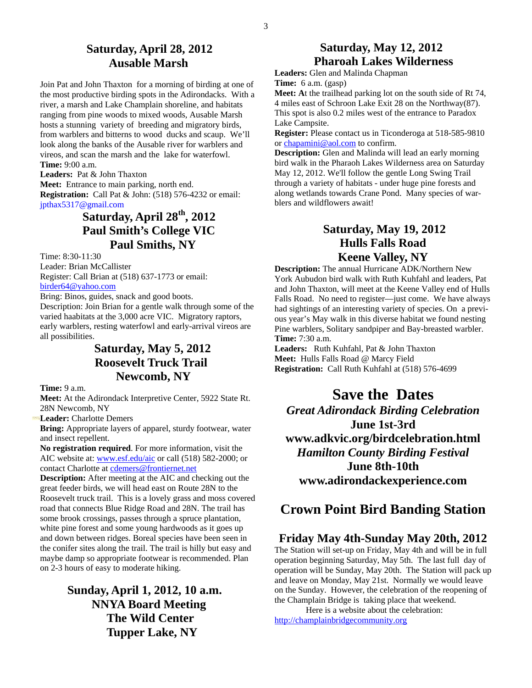## **Saturday, April 28, 2012 Ausable Marsh**

Join Pat and John Thaxton for a morning of birding at one of the most productive birding spots in the Adirondacks. With a river, a marsh and Lake Champlain shoreline, and habitats ranging from pine woods to mixed woods, Ausable Marsh hosts a stunning variety of breeding and migratory birds, from warblers and bitterns to wood ducks and scaup. We'll look along the banks of the Ausable river for warblers and vireos, and scan the marsh and the lake for waterfowl. **Time:** 9:00 a.m.

**Leaders:** Pat & John Thaxton

**Meet:** Entrance to main parking, north end. **Registration:** Call Pat & John: (518) 576-4232 or email: jpthax5317@gmail.com

## **Saturday, April 28th, 2012 Paul Smith's College VIC Paul Smiths, NY**

Time: 8:30-11:30 Leader: Brian McCallister Register: Call Brian at (518) 637-1773 or email: birder64@yahoo.com

Bring: Binos, guides, snack and good boots.

Description: Join Brian for a gentle walk through some of the varied haabitats at the 3,000 acre VIC. Migratory raptors, early warblers, resting waterfowl and early-arrival vireos are all possibilities.

## **Saturday, May 5, 2012 Roosevelt Truck Trail Newcomb, NY**

**Time:** 9 a.m.

**Meet:** At the Adirondack Interpretive Center, 5922 State Rt. 28N Newcomb, NY

**Leader:** Charlotte Demers

**Bring:** Appropriate layers of apparel, sturdy footwear, water and insect repellent.

**No registration required**. For more information, visit the AIC website at: www.esf.edu/aic or call (518) 582-2000; or contact Charlotte at cdemers@frontiernet.net

**Description:** After meeting at the AIC and checking out the great feeder birds, we will head east on Route 28N to the Roosevelt truck trail. This is a lovely grass and moss covered road that connects Blue Ridge Road and 28N. The trail has some brook crossings, passes through a spruce plantation, white pine forest and some young hardwoods as it goes up and down between ridges. Boreal species have been seen in the conifer sites along the trail. The trail is hilly but easy and maybe damp so appropriate footwear is recommended. Plan on 2-3 hours of easy to moderate hiking.

> **Sunday, April 1, 2012, 10 a.m. NNYA Board Meeting The Wild Center Tupper Lake, NY**

### **Saturday, May 12, 2012 Pharoah Lakes Wilderness**

**Leaders:** Glen and Malinda Chapman **Time:** 6 a.m. (gasp)

**Meet: A**t the trailhead parking lot on the south side of Rt 74, 4 miles east of Schroon Lake Exit 28 on the Northway(87). This spot is also 0.2 miles west of the entrance to Paradox Lake Campsite.

**Register:** Please contact us in Ticonderoga at 518-585-9810 or chapamini@aol.com to confirm.

**Description:** Glen and Malinda will lead an early morning bird walk in the Pharaoh Lakes Wilderness area on Saturday May 12, 2012. We'll follow the gentle Long Swing Trail through a variety of habitats - under huge pine forests and along wetlands towards Crane Pond. Many species of warblers and wildflowers await!

## **Saturday, May 19, 2012 Hulls Falls Road Keene Valley, NY**

**Description:** The annual Hurricane ADK/Northern New York Aubudon bird walk with Ruth Kuhfahl and leaders, Pat and John Thaxton, will meet at the Keene Valley end of Hulls Falls Road. No need to register—just come. We have always had sightings of an interesting variety of species. On a previous year's May walk in this diverse habitat we found nesting Pine warblers, Solitary sandpiper and Bay-breasted warbler. **Time:** 7:30 a.m.

**Leaders:** Ruth Kuhfahl, Pat & John Thaxton **Meet:** Hulls Falls Road @ Marcy Field **Registration:** Call Ruth Kuhfahl at (518) 576-4699

**Save the Dates**  *Great Adirondack Birding Celebration*  **June 1st-3rd www.adkvic.org/birdcelebration.html**  *Hamilton County Birding Festival*  **June 8th-10th www.adirondackexperience.com** 

## **Crown Point Bird Banding Station**

#### **Friday May 4th-Sunday May 20th, 2012**

The Station will set-up on Friday, May 4th and will be in full operation beginning Saturday, May 5th. The last full day of operation will be Sunday, May 20th. The Station will pack up and leave on Monday, May 21st. Normally we would leave on the Sunday. However, the celebration of the reopening of the Champlain Bridge is taking place that weekend.

 Here is a website about the celebration: http://champlainbridgecommunity.org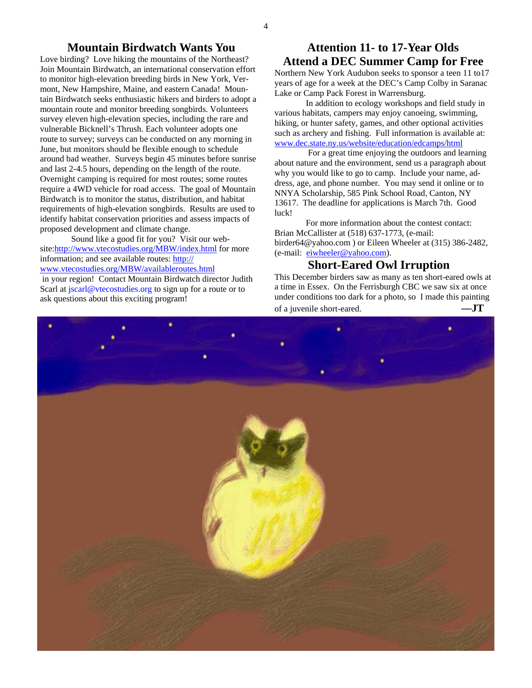#### **Mountain Birdwatch Wants You**

Love birding? Love hiking the mountains of the Northeast? Join Mountain Birdwatch, an international conservation effort to monitor high-elevation breeding birds in New York, Vermont, New Hampshire, Maine, and eastern Canada! Mountain Birdwatch seeks enthusiastic hikers and birders to adopt a mountain route and monitor breeding songbirds. Volunteers survey eleven high-elevation species, including the rare and vulnerable Bicknell's Thrush. Each volunteer adopts one route to survey; surveys can be conducted on any morning in June, but monitors should be flexible enough to schedule around bad weather. Surveys begin 45 minutes before sunrise and last 2-4.5 hours, depending on the length of the route. Overnight camping is required for most routes; some routes require a 4WD vehicle for road access. The goal of Mountain Birdwatch is to monitor the status, distribution, and habitat requirements of high-elevation songbirds. Results are used to identify habitat conservation priorities and assess impacts of proposed development and climate change.

Sound like a good fit for you? Visit our website:http://www.vtecostudies.org/MBW/index.html for more information; and see available routes: http:// www.vtecostudies.org/MBW/availableroutes.html in your region! Contact Mountain Birdwatch director Judith Scarl at jscarl@vtecostudies.org to sign up for a route or to ask questions about this exciting program!

#### **Attention 11- to 17-Year Olds Attend a DEC Summer Camp for Free**

Northern New York Audubon seeks to sponsor a teen 11 to17 years of age for a week at the DEC's Camp Colby in Saranac Lake or Camp Pack Forest in Warrensburg.

 In addition to ecology workshops and field study in various habitats, campers may enjoy canoeing, swimming, hiking, or hunter safety, games, and other optional activities such as archery and fishing. Full information is available at: www.dec.state.ny.us/website/education/edcamps/html

 For a great time enjoying the outdoors and learning about nature and the environment, send us a paragraph about why you would like to go to camp. Include your name, address, age, and phone number. You may send it online or to NNYA Scholarship, 585 Pink School Road, Canton, NY 13617. The deadline for applications is March 7th. Good luck!

 For more information about the contest contact: Brian McCallister at (518) 637-1773, (e-mail: birder64@yahoo.com ) or Eileen Wheeler at (315) 386-2482, (e-mail: eiwheeler@yahoo.com).

#### **Short-Eared Owl Irruption**

This December birders saw as many as ten short-eared owls at a time in Essex. On the Ferrisburgh CBC we saw six at once under conditions too dark for a photo, so I made this painting of a juvenile short-eared. **—JT**

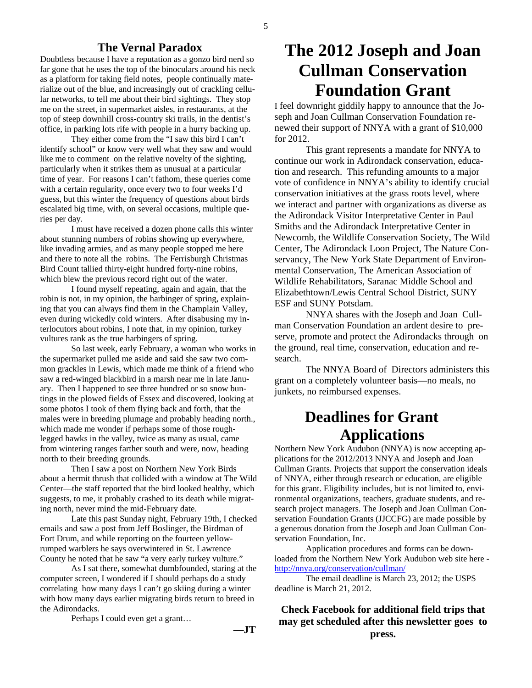#### **The Vernal Paradox**

Doubtless because I have a reputation as a gonzo bird nerd so far gone that he uses the top of the binoculars around his neck as a platform for taking field notes, people continually materialize out of the blue, and increasingly out of crackling cellular networks, to tell me about their bird sightings. They stop me on the street, in supermarket aisles, in restaurants, at the top of steep downhill cross-country ski trails, in the dentist's office, in parking lots rife with people in a hurry backing up.

 They either come from the "I saw this bird I can't identify school" or know very well what they saw and would like me to comment on the relative novelty of the sighting, particularly when it strikes them as unusual at a particular time of year. For reasons I can't fathom, these queries come with a certain regularity, once every two to four weeks I'd guess, but this winter the frequency of questions about birds escalated big time, with, on several occasions, multiple queries per day.

 I must have received a dozen phone calls this winter about stunning numbers of robins showing up everywhere, like invading armies, and as many people stopped me here and there to note all the robins. The Ferrisburgh Christmas Bird Count tallied thirty-eight hundred forty-nine robins, which blew the previous record right out of the water.

 I found myself repeating, again and again, that the robin is not, in my opinion, the harbinger of spring, explaining that you can always find them in the Champlain Valley, even during wickedly cold winters. After disabusing my interlocutors about robins, I note that, in my opinion, turkey vultures rank as the true harbingers of spring.

 So last week, early February, a woman who works in the supermarket pulled me aside and said she saw two common grackles in Lewis, which made me think of a friend who saw a red-winged blackbird in a marsh near me in late January. Then I happened to see three hundred or so snow buntings in the plowed fields of Essex and discovered, looking at some photos I took of them flying back and forth, that the males were in breeding plumage and probably heading north., which made me wonder if perhaps some of those roughlegged hawks in the valley, twice as many as usual, came from wintering ranges farther south and were, now, heading north to their breeding grounds.

 Then I saw a post on Northern New York Birds about a hermit thrush that collided with a window at The Wild Center—the staff reported that the bird looked healthy, which suggests, to me, it probably crashed to its death while migrating north, never mind the mid-February date.

 Late this past Sunday night, February 19th, I checked emails and saw a post from Jeff Boslinger, the Birdman of Fort Drum, and while reporting on the fourteen yellowrumped warblers he says overwintered in St. Lawrence County he noted that he saw "a very early turkey vulture."

 As I sat there, somewhat dumbfounded, staring at the computer screen, I wondered if I should perhaps do a study correlating how many days I can't go skiing during a winter with how many days earlier migrating birds return to breed in the Adirondacks.

Perhaps I could even get a grant…

**—JT**

# **The 2012 Joseph and Joan Cullman Conservation Foundation Grant**

I feel downright giddily happy to announce that the Joseph and Joan Cullman Conservation Foundation renewed their support of NNYA with a grant of \$10,000 for 2012.

 This grant represents a mandate for NNYA to continue our work in Adirondack conservation, education and research. This refunding amounts to a major vote of confidence in NNYA's ability to identify crucial conservation initiatives at the grass roots level, where we interact and partner with organizations as diverse as the Adirondack Visitor Interpretative Center in Paul Smiths and the Adirondack Interpretative Center in Newcomb, the Wildlife Conservation Society, The Wild Center, The Adirondack Loon Project, The Nature Conservancy, The New York State Department of Environmental Conservation, The American Association of Wildlife Rehabilitators, Saranac Middle School and Elizabethtown/Lewis Central School District, SUNY ESF and SUNY Potsdam.

 NNYA shares with the Joseph and Joan Cullman Conservation Foundation an ardent desire to preserve, promote and protect the Adirondacks through on the ground, real time, conservation, education and research.

 The NNYA Board of Directors administers this grant on a completely volunteer basis—no meals, no junkets, no reimbursed expenses.

# **Deadlines for Grant Applications**

Northern New York Audubon (NNYA) is now accepting applications for the 2012/2013 NNYA and Joseph and Joan Cullman Grants. Projects that support the conservation ideals of NNYA, either through research or education, are eligible for this grant. Eligibility includes, but is not limited to, environmental organizations, teachers, graduate students, and research project managers. The Joseph and Joan Cullman Conservation Foundation Grants (JJCCFG) are made possible by a generous donation from the Joseph and Joan Cullman Conservation Foundation, Inc.

 Application procedures and forms can be downloaded from the Northern New York Audubon web site here http://nnya.org/conservation/cullman/

 The email deadline is March 23, 2012; the USPS deadline is March 21, 2012.

**Check Facebook for additional field trips that may get scheduled after this newsletter goes to press.**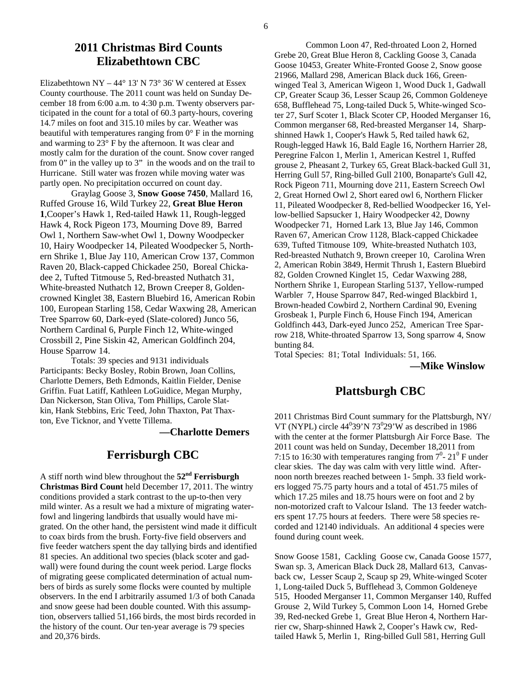#### **2011 Christmas Bird Counts Elizabethtown CBC**

Elizabethtown NY – 44 $\degree$  13' N 73 $\degree$  36' W centered at Essex County courthouse. The 2011 count was held on Sunday December 18 from 6:00 a.m. to 4:30 p.m. Twenty observers participated in the count for a total of 60.3 party-hours, covering 14.7 miles on foot and 315.10 miles by car. Weather was beautiful with temperatures ranging from  $0^{\circ}$  F in the morning and warming to 23° F by the afternoon. It was clear and mostly calm for the duration of the count. Snow cover ranged from 0" in the valley up to 3" in the woods and on the trail to Hurricane. Still water was frozen while moving water was partly open. No precipitation occurred on count day.

 Graylag Goose 3, **Snow Goose 7450**, Mallard 16, Ruffed Grouse 16, Wild Turkey 22, **Great Blue Heron 1**,Cooper's Hawk 1, Red-tailed Hawk 11, Rough-legged Hawk 4, Rock Pigeon 173, Mourning Dove 89, Barred Owl 1, Northern Saw-whet Owl 1, Downy Woodpecker 10, Hairy Woodpecker 14, Pileated Woodpecker 5, Northern Shrike 1, Blue Jay 110, American Crow 137, Common Raven 20, Black-capped Chickadee 250, Boreal Chickadee 2, Tufted Titmouse 5, Red-breasted Nuthatch 31, White-breasted Nuthatch 12, Brown Creeper 8, Goldencrowned Kinglet 38, Eastern Bluebird 16, American Robin 100, European Starling 158, Cedar Waxwing 28, American Tree Sparrow 60, Dark-eyed (Slate-colored) Junco 56, Northern Cardinal 6, Purple Finch 12, White-winged Crossbill 2, Pine Siskin 42, American Goldfinch 204, House Sparrow 14.

 Totals: 39 species and 9131 individuals Participants: Becky Bosley, Robin Brown, Joan Collins, Charlotte Demers, Beth Edmonds, Kaitlin Fielder, Denise Griffin. Fuat Latiff, Kathleen LoGuidice, Megan Murphy, Dan Nickerson, Stan Oliva, Tom Phillips, Carole Slatkin, Hank Stebbins, Eric Teed, John Thaxton, Pat Thaxton, Eve Ticknor, and Yvette Tillema.

**—Charlotte Demers**

## **Ferrisburgh CBC**

A stiff north wind blew throughout the **52nd Ferrisburgh Christmas Bird Count** held December 17, 2011. The wintry conditions provided a stark contrast to the up-to-then very mild winter. As a result we had a mixture of migrating waterfowl and lingering landbirds that usually would have migrated. On the other hand, the persistent wind made it difficult to coax birds from the brush. Forty-five field observers and five feeder watchers spent the day tallying birds and identified 81 species. An additional two species (black scoter and gadwall) were found during the count week period. Large flocks of migrating geese complicated determination of actual numbers of birds as surely some flocks were counted by multiple observers. In the end I arbitrarily assumed 1/3 of both Canada and snow geese had been double counted. With this assumption, observers tallied 51,166 birds, the most birds recorded in the history of the count. Our ten-year average is 79 species and 20,376 birds.

Common Loon 47, Red-throated Loon 2, Horned Grebe 20, Great Blue Heron 8, Cackling Goose 3, Canada Goose 10453, Greater White-Fronted Goose 2, Snow goose 21966, Mallard 298, American Black duck 166, Greenwinged Teal 3, American Wigeon 1, Wood Duck 1, Gadwall CP, Greater Scaup 36, Lesser Scaup 26, Common Goldeneye 658, Bufflehead 75, Long-tailed Duck 5, White-winged Scoter 27, Surf Scoter 1, Black Scoter CP, Hooded Merganser 16, Common merganser 68, Red-breasted Merganser 14, Sharpshinned Hawk 1, Cooper's Hawk 5, Red tailed hawk 62, Rough-legged Hawk 16, Bald Eagle 16, Northern Harrier 28, Peregrine Falcon 1, Merlin 1, American Kestrel 1, Ruffed grouse 2, Pheasant 2, Turkey 65, Great Black-backed Gull 31, Herring Gull 57, Ring-billed Gull 2100, Bonaparte's Gull 42, Rock Pigeon 711, Mourning dove 211, Eastern Screech Owl 2, Great Horned Owl 2, Short eared owl 6, Northern Flicker 11, Pileated Woodpecker 8, Red-bellied Woodpecker 16, Yellow-bellied Sapsucker 1, Hairy Woodpecker 42, Downy Woodpecker 71, Horned Lark 13, Blue Jay 146, Common Raven 67, American Crow 1128, Black-capped Chickadee 639, Tufted Titmouse 109, White-breasted Nuthatch 103, Red-breasted Nuthatch 9, Brown creeper 10, Carolina Wren 2, American Robin 3849, Hermit Thrush 1, Eastern Bluebird 82, Golden Crowned Kinglet 15, Cedar Waxwing 288, Northern Shrike 1, European Starling 5137, Yellow-rumped Warbler 7, House Sparrow 847, Red-winged Blackbird 1, Brown-headed Cowbird 2, Northern Cardinal 90, Evening Grosbeak 1, Purple Finch 6, House Finch 194, American Goldfinch 443, Dark-eyed Junco 252, American Tree Sparrow 218, White-throated Sparrow 13, Song sparrow 4, Snow bunting 84.

Total Species: 81; Total Individuals: 51, 166.

**—Mike Winslow** 

#### **Plattsburgh CBC**

2011 Christmas Bird Count summary for the Plattsburgh, NY/ VT (NYPL) circle  $44^039'N73^029'W$  as described in 1986 with the center at the former Plattsburgh Air Force Base. The 2011 count was held on Sunday, December 18,2011 from 7:15 to 16:30 with temperatures ranging from  $7^0$ - 21<sup>0</sup> F under clear skies. The day was calm with very little wind. Afternoon north breezes reached between 1- 5mph. 33 field workers logged 75.75 party hours and a total of 451.75 miles of which 17.25 miles and 18.75 hours were on foot and 2 by non-motorized craft to Valcour Island. The 13 feeder watchers spent 17.75 hours at feeders. There were 58 species recorded and 12140 individuals. An additional 4 species were found during count week.

Snow Goose 1581, Cackling Goose cw, Canada Goose 1577, Swan sp. 3, American Black Duck 28, Mallard 613, Canvasback cw, Lesser Scaup 2, Scaup sp 29, White-winged Scoter 1, Long-tailed Duck 5, Bufflehead 3, Common Goldeneye 515, Hooded Merganser 11, Common Merganser 140, Ruffed Grouse 2, Wild Turkey 5, Common Loon 14, Horned Grebe 39, Red-necked Grebe 1, Great Blue Heron 4, Northern Harrier cw, Sharp-shinned Hawk 2, Cooper's Hawk cw, Redtailed Hawk 5, Merlin 1, Ring-billed Gull 581, Herring Gull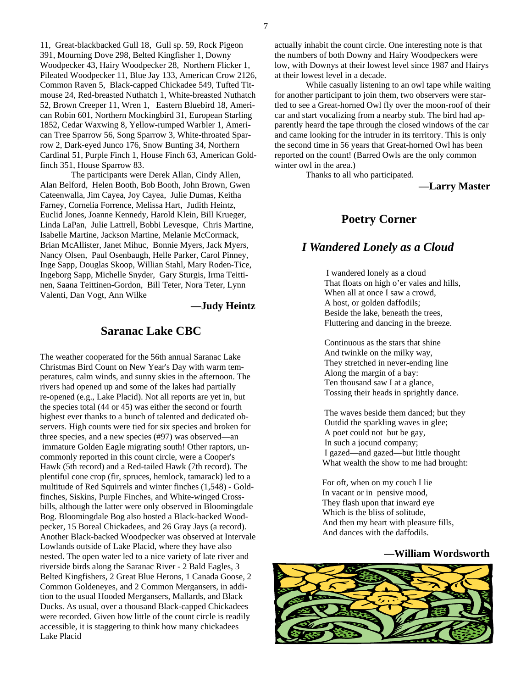11, Great-blackbacked Gull 18, Gull sp. 59, Rock Pigeon 391, Mourning Dove 298, Belted Kingfisher 1, Downy Woodpecker 43, Hairy Woodpecker 28, Northern Flicker 1, Pileated Woodpecker 11, Blue Jay 133, American Crow 2126, Common Raven 5, Black-capped Chickadee 549, Tufted Titmouse 24, Red-breasted Nuthatch 1, White-breasted Nuthatch 52, Brown Creeper 11, Wren 1, Eastern Bluebird 18, American Robin 601, Northern Mockingbird 31, European Starling 1852, Cedar Waxwing 8, Yellow-rumped Warbler 1, American Tree Sparrow 56, Song Sparrow 3, White-throated Sparrow 2, Dark-eyed Junco 176, Snow Bunting 34, Northern Cardinal 51, Purple Finch 1, House Finch 63, American Goldfinch 351, House Sparrow 83.

 The participants were Derek Allan, Cindy Allen, Alan Belford, Helen Booth, Bob Booth, John Brown, Gwen Cateenwalla, Jim Cayea, Joy Cayea, Julie Dumas, Keitha Farney, Cornelia Forrence, Melissa Hart, Judith Heintz, Euclid Jones, Joanne Kennedy, Harold Klein, Bill Krueger, Linda LaPan, Julie Lattrell, Bobbi Levesque, Chris Martine, Isabelle Martine, Jackson Martine, Melanie McCormack, Brian McAllister, Janet Mihuc, Bonnie Myers, Jack Myers, Nancy Olsen, Paul Osenbaugh, Helle Parker, Carol Pinney, Inge Sapp, Douglas Skoop, Willian Stahl, Mary Roden-Tice, Ingeborg Sapp, Michelle Snyder, Gary Sturgis, Irma Teittinen, Saana Teittinen-Gordon, Bill Teter, Nora Teter, Lynn Valenti, Dan Vogt, Ann Wilke

**—Judy Heintz** 

#### **Saranac Lake CBC**

The weather cooperated for the 56th annual Saranac Lake Christmas Bird Count on New Year's Day with warm temperatures, calm winds, and sunny skies in the afternoon. The rivers had opened up and some of the lakes had partially re-opened (e.g., Lake Placid). Not all reports are yet in, but the species total (44 or 45) was either the second or fourth highest ever thanks to a bunch of talented and dedicated observers. High counts were tied for six species and broken for three species, and a new species (#97) was observed—an immature Golden Eagle migrating south! Other raptors, uncommonly reported in this count circle, were a Cooper's Hawk (5th record) and a Red-tailed Hawk (7th record). The plentiful cone crop (fir, spruces, hemlock, tamarack) led to a multitude of Red Squirrels and winter finches (1,548) - Goldfinches, Siskins, Purple Finches, and White-winged Crossbills, although the latter were only observed in Bloomingdale Bog. Bloomingdale Bog also hosted a Black-backed Woodpecker, 15 Boreal Chickadees, and 26 Gray Jays (a record). Another Black-backed Woodpecker was observed at Intervale Lowlands outside of Lake Placid, where they have also nested. The open water led to a nice variety of late river and riverside birds along the Saranac River - 2 Bald Eagles, 3 Belted Kingfishers, 2 Great Blue Herons, 1 Canada Goose, 2 Common Goldeneyes, and 2 Common Mergansers, in addition to the usual Hooded Mergansers, Mallards, and Black Ducks. As usual, over a thousand Black-capped Chickadees were recorded. Given how little of the count circle is readily accessible, it is staggering to think how many chickadees Lake Placid

actually inhabit the count circle. One interesting note is that the numbers of both Downy and Hairy Woodpeckers were low, with Downys at their lowest level since 1987 and Hairys at their lowest level in a decade.

 While casually listening to an owl tape while waiting for another participant to join them, two observers were startled to see a Great-horned Owl fly over the moon-roof of their car and start vocalizing from a nearby stub. The bird had apparently heard the tape through the closed windows of the car and came looking for the intruder in its territory. This is only the second time in 56 years that Great-horned Owl has been reported on the count! (Barred Owls are the only common winter owl in the area.)

Thanks to all who participated.

**—Larry Master**

#### **Poetry Corner**

## *I Wandered Lonely as a Cloud*

I wandered lonely as a cloud That floats on high o'er vales and hills, When all at once I saw a crowd, A host, or golden daffodils; Beside the lake, beneath the trees, Fluttering and dancing in the breeze.

 Continuous as the stars that shine And twinkle on the milky way, They stretched in never-ending line Along the margin of a bay: Ten thousand saw I at a glance, Tossing their heads in sprightly dance.

 The waves beside them danced; but they Outdid the sparkling waves in glee; A poet could not but be gay, In such a jocund company; I gazed—and gazed—but little thought What wealth the show to me had brought:

 For oft, when on my couch I lie In vacant or in pensive mood, They flash upon that inward eye Which is the bliss of solitude, And then my heart with pleasure fills, And dances with the daffodils.

#### **—William Wordsworth**